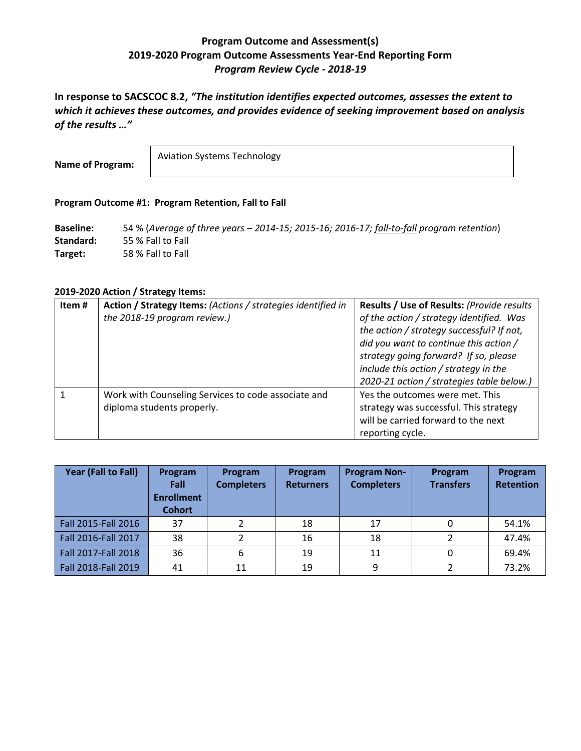# **Program Outcome and Assessment(s) 2019-2020 Program Outcome Assessments Year-End Reporting Form** *Program Review Cycle - 2018-19*

**In response to SACSCOC 8.2,** *"The institution identifies expected outcomes, assesses the extent to which it achieves these outcomes, and provides evidence of seeking improvement based on analysis of the results …"*

**Name of Program:**

Aviation Systems Technology

### **Program Outcome #1: Program Retention, Fall to Fall**

**Baseline:** 54 % (*Average of three years – 2014-15; 2015-16; 2016-17; fall-to-fall program retention*) **Standard:** 55 % Fall to Fall **Target:** 58 % Fall to Fall

#### **2019-2020 Action / Strategy Items:**

| Item# | Action / Strategy Items: (Actions / strategies identified in | Results / Use of Results: (Provide results |
|-------|--------------------------------------------------------------|--------------------------------------------|
|       | the 2018-19 program review.)                                 | of the action / strategy identified. Was   |
|       |                                                              | the action / strategy successful? If not,  |
|       |                                                              | did you want to continue this action /     |
|       |                                                              | strategy going forward? If so, please      |
|       |                                                              | include this action / strategy in the      |
|       |                                                              | 2020-21 action / strategies table below.)  |
|       | Work with Counseling Services to code associate and          | Yes the outcomes were met. This            |
|       | diploma students properly.                                   | strategy was successful. This strategy     |
|       |                                                              | will be carried forward to the next        |
|       |                                                              | reporting cycle.                           |

| Year (Fall to Fall) | Program<br>Fall<br><b>Enrollment</b><br><b>Cohort</b> | Program<br><b>Completers</b> | Program<br><b>Returners</b> | <b>Program Non-</b><br><b>Completers</b> | Program<br><b>Transfers</b> | Program<br><b>Retention</b> |
|---------------------|-------------------------------------------------------|------------------------------|-----------------------------|------------------------------------------|-----------------------------|-----------------------------|
| Fall 2015-Fall 2016 | 37                                                    | າ                            | 18                          | 17                                       |                             | 54.1%                       |
| Fall 2016-Fall 2017 | 38                                                    | 2                            | 16                          | 18                                       | າ                           | 47.4%                       |
| Fall 2017-Fall 2018 | 36                                                    | 6                            | 19                          | 11                                       |                             | 69.4%                       |
| Fall 2018-Fall 2019 | 41                                                    | 11                           | 19                          | 9                                        |                             | 73.2%                       |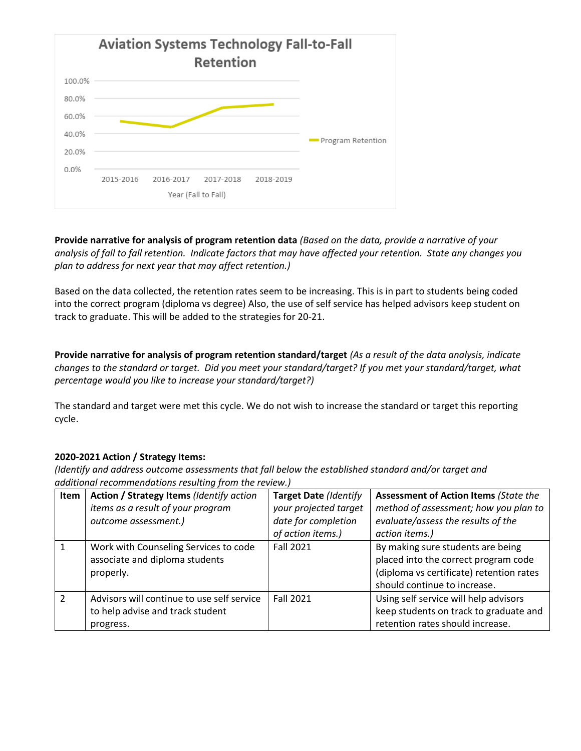

**Provide narrative for analysis of program retention data** *(Based on the data, provide a narrative of your analysis of fall to fall retention. Indicate factors that may have affected your retention. State any changes you plan to address for next year that may affect retention.)*

Based on the data collected, the retention rates seem to be increasing. This is in part to students being coded into the correct program (diploma vs degree) Also, the use of self service has helped advisors keep student on track to graduate. This will be added to the strategies for 20-21.

**Provide narrative for analysis of program retention standard/target** *(As a result of the data analysis, indicate changes to the standard or target. Did you meet your standard/target? If you met your standard/target, what percentage would you like to increase your standard/target?)* 

The standard and target were met this cycle. We do not wish to increase the standard or target this reporting cycle.

# **2020-2021 Action / Strategy Items:**

| Item          | Action / Strategy Items (Identify action<br>items as a result of your program<br>outcome assessment.) | <b>Target Date (Identify</b><br>your projected target<br>date for completion<br>of action items.) | <b>Assessment of Action Items (State the</b><br>method of assessment; how you plan to<br>evaluate/assess the results of the<br>action items.)         |
|---------------|-------------------------------------------------------------------------------------------------------|---------------------------------------------------------------------------------------------------|-------------------------------------------------------------------------------------------------------------------------------------------------------|
|               | Work with Counseling Services to code<br>associate and diploma students<br>properly.                  | <b>Fall 2021</b>                                                                                  | By making sure students are being<br>placed into the correct program code<br>(diploma vs certificate) retention rates<br>should continue to increase. |
| $\mathcal{P}$ | Advisors will continue to use self service<br>to help advise and track student<br>progress.           | <b>Fall 2021</b>                                                                                  | Using self service will help advisors<br>keep students on track to graduate and<br>retention rates should increase.                                   |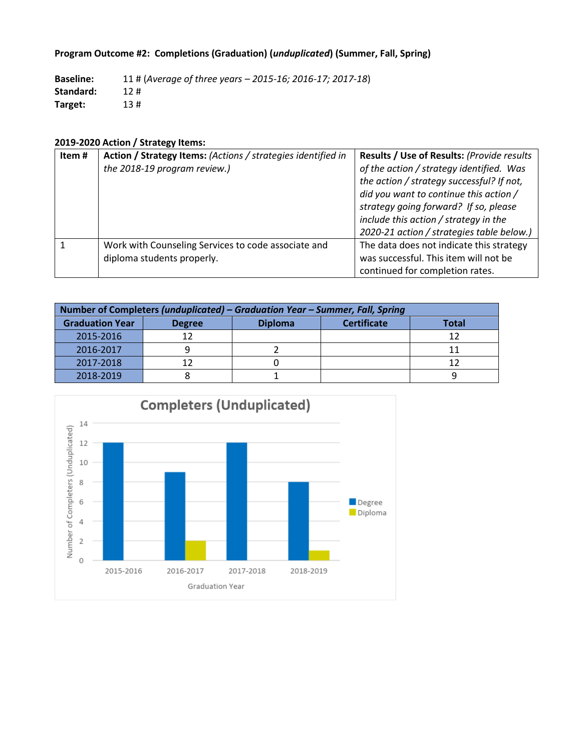# **Program Outcome #2: Completions (Graduation) (***unduplicated***) (Summer, Fall, Spring)**

**Baseline:** 11 # (*Average of three years – 2015-16; 2016-17; 2017-18*) **Standard:** 12 # **Target:** 13 #

# **2019-2020 Action / Strategy Items:**

| Item# | Action / Strategy Items: (Actions / strategies identified in | <b>Results / Use of Results: (Provide results)</b> |
|-------|--------------------------------------------------------------|----------------------------------------------------|
|       | the 2018-19 program review.)                                 | of the action / strategy identified. Was           |
|       |                                                              | the action / strategy successful? If not,          |
|       |                                                              | did you want to continue this action /             |
|       |                                                              | strategy going forward? If so, please              |
|       |                                                              | include this action / strategy in the              |
|       |                                                              | 2020-21 action / strategies table below.)          |
|       | Work with Counseling Services to code associate and          | The data does not indicate this strategy           |
|       | diploma students properly.                                   | was successful. This item will not be              |
|       |                                                              | continued for completion rates.                    |

| Number of Completers (unduplicated) – Graduation Year – Summer, Fall, Spring |       |  |  |  |  |  |
|------------------------------------------------------------------------------|-------|--|--|--|--|--|
| <b>Graduation Year</b>                                                       | Total |  |  |  |  |  |
| 2015-2016                                                                    | 12    |  |  |  |  |  |
| 2016-2017                                                                    |       |  |  |  |  |  |
| 2017-2018                                                                    |       |  |  |  |  |  |
| 2018-2019                                                                    |       |  |  |  |  |  |

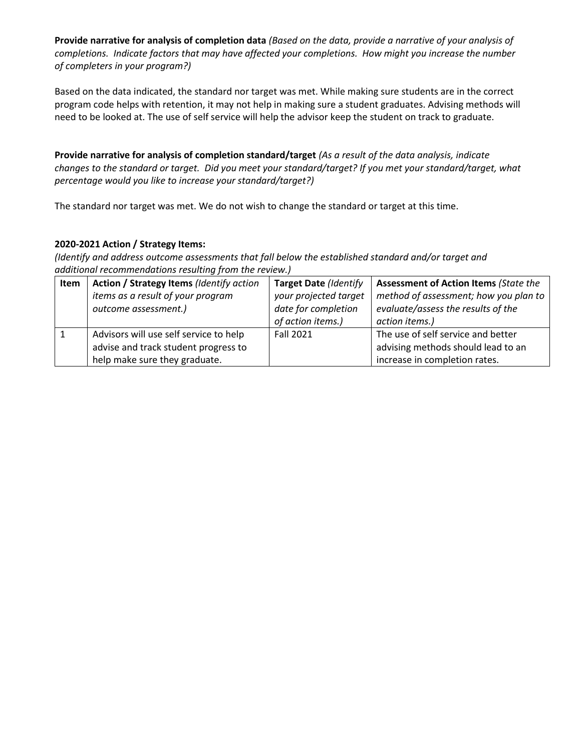**Provide narrative for analysis of completion data** *(Based on the data, provide a narrative of your analysis of completions. Indicate factors that may have affected your completions. How might you increase the number of completers in your program?)*

Based on the data indicated, the standard nor target was met. While making sure students are in the correct program code helps with retention, it may not help in making sure a student graduates. Advising methods will need to be looked at. The use of self service will help the advisor keep the student on track to graduate.

**Provide narrative for analysis of completion standard/target** *(As a result of the data analysis, indicate changes to the standard or target. Did you meet your standard/target? If you met your standard/target, what percentage would you like to increase your standard/target?)* 

The standard nor target was met. We do not wish to change the standard or target at this time.

## **2020-2021 Action / Strategy Items:**

| Item | Action / Strategy Items (Identify action | <b>Target Date (Identify</b> | <b>Assessment of Action Items (State the</b> |
|------|------------------------------------------|------------------------------|----------------------------------------------|
|      | items as a result of your program        | your projected target        | method of assessment; how you plan to        |
|      | outcome assessment.)                     | date for completion          | evaluate/assess the results of the           |
|      |                                          | of action items.)            | action items.)                               |
|      | Advisors will use self service to help   | <b>Fall 2021</b>             | The use of self service and better           |
|      | advise and track student progress to     |                              | advising methods should lead to an           |
|      | help make sure they graduate.            |                              | increase in completion rates.                |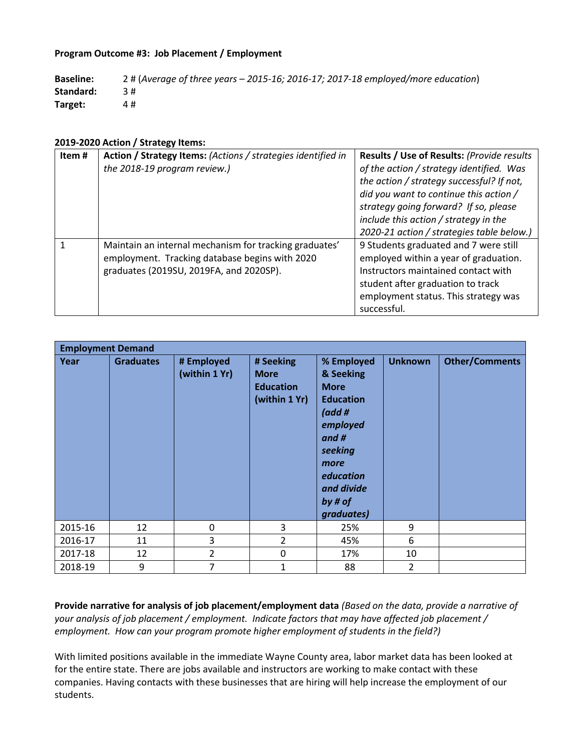### **Program Outcome #3: Job Placement / Employment**

| <b>Baseline:</b> | 2 # (Average of three years $-$ 2015-16; 2016-17; 2017-18 employed/more education) |
|------------------|------------------------------------------------------------------------------------|
| Standard:        |                                                                                    |
| Target:          | 4#                                                                                 |

#### **2019-2020 Action / Strategy Items:**

| Item# | Action / Strategy Items: (Actions / strategies identified in | Results / Use of Results: (Provide results |
|-------|--------------------------------------------------------------|--------------------------------------------|
|       | the 2018-19 program review.)                                 | of the action / strategy identified. Was   |
|       |                                                              | the action / strategy successful? If not,  |
|       |                                                              | did you want to continue this action /     |
|       |                                                              | strategy going forward? If so, please      |
|       |                                                              | include this action / strategy in the      |
|       |                                                              | 2020-21 action / strategies table below.)  |
|       | Maintain an internal mechanism for tracking graduates'       | 9 Students graduated and 7 were still      |
|       | employment. Tracking database begins with 2020               | employed within a year of graduation.      |
|       | graduates (2019SU, 2019FA, and 2020SP).                      | Instructors maintained contact with        |
|       |                                                              | student after graduation to track          |
|       |                                                              | employment status. This strategy was       |
|       |                                                              | successful.                                |

| <b>Employment Demand</b> |                  |                             |                                                               |                                                                                                                                                                   |                |                       |  |
|--------------------------|------------------|-----------------------------|---------------------------------------------------------------|-------------------------------------------------------------------------------------------------------------------------------------------------------------------|----------------|-----------------------|--|
| Year                     | <b>Graduates</b> | # Employed<br>(within 1 Yr) | # Seeking<br><b>More</b><br><b>Education</b><br>(within 1 Yr) | % Employed<br>& Seeking<br><b>More</b><br><b>Education</b><br>(add#<br>employed<br>and #<br>seeking<br>more<br>education<br>and divide<br>by # $of$<br>graduates) | <b>Unknown</b> | <b>Other/Comments</b> |  |
| 2015-16                  | 12               | 0                           | 3                                                             | 25%                                                                                                                                                               | 9              |                       |  |
| 2016-17                  | 11               | 3                           | $\overline{2}$                                                | 45%                                                                                                                                                               | 6              |                       |  |
| 2017-18                  | 12               | 2                           | 0                                                             | 17%                                                                                                                                                               | 10             |                       |  |
| 2018-19                  | 9                | 7                           | $\mathbf{1}$                                                  | 88                                                                                                                                                                | 2              |                       |  |

**Provide narrative for analysis of job placement/employment data** *(Based on the data, provide a narrative of your analysis of job placement / employment. Indicate factors that may have affected job placement / employment. How can your program promote higher employment of students in the field?)*

With limited positions available in the immediate Wayne County area, labor market data has been looked at for the entire state. There are jobs available and instructors are working to make contact with these companies. Having contacts with these businesses that are hiring will help increase the employment of our students.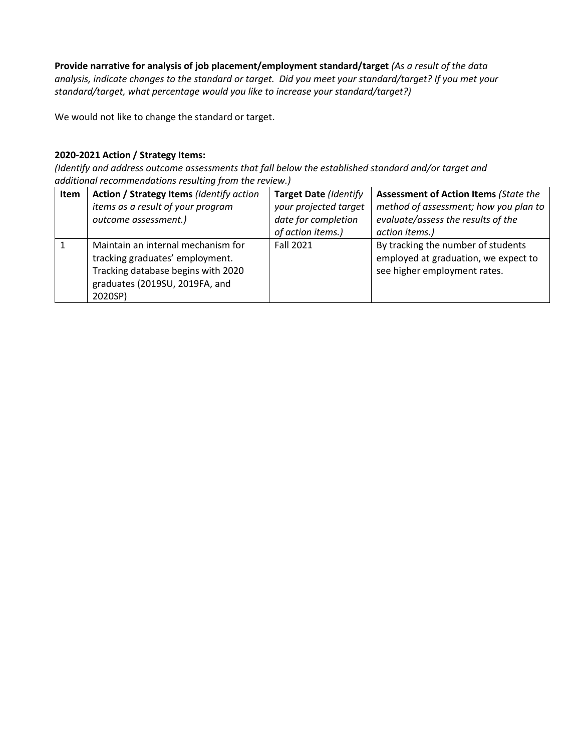**Provide narrative for analysis of job placement/employment standard/target** *(As a result of the data analysis, indicate changes to the standard or target. Did you meet your standard/target? If you met your standard/target, what percentage would you like to increase your standard/target?)* 

We would not like to change the standard or target.

# **2020-2021 Action / Strategy Items:**

| Item | Action / Strategy Items (Identify action<br>items as a result of your program<br>outcome assessment.)                                                    | <b>Target Date (Identify</b><br>your projected target<br>date for completion<br>of action items.) | <b>Assessment of Action Items (State the</b><br>method of assessment; how you plan to<br>evaluate/assess the results of the<br>action items.) |
|------|----------------------------------------------------------------------------------------------------------------------------------------------------------|---------------------------------------------------------------------------------------------------|-----------------------------------------------------------------------------------------------------------------------------------------------|
|      | Maintain an internal mechanism for<br>tracking graduates' employment.<br>Tracking database begins with 2020<br>graduates (2019SU, 2019FA, and<br>2020SP) | <b>Fall 2021</b>                                                                                  | By tracking the number of students<br>employed at graduation, we expect to<br>see higher employment rates.                                    |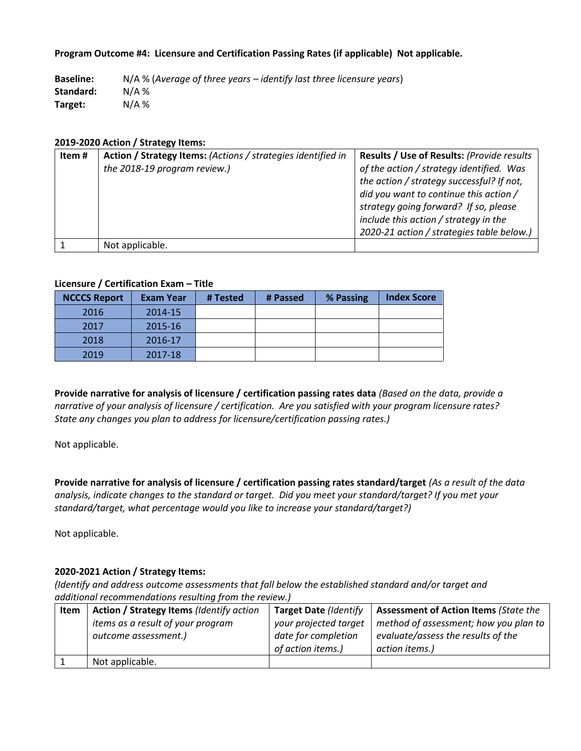### **Program Outcome #4: Licensure and Certification Passing Rates (if applicable) Not applicable.**

**Baseline:** N/A % (*Average of three years – identify last three licensure years*) **Standard:** N/A % **Target:** N/A %

#### **2019-2020 Action / Strategy Items:**

| Item# | Action / Strategy Items: (Actions / strategies identified in | <b>Results / Use of Results: (Provide results)</b> |
|-------|--------------------------------------------------------------|----------------------------------------------------|
|       | the 2018-19 program review.)                                 | of the action / strategy identified. Was           |
|       |                                                              | the action / strategy successful? If not,          |
|       |                                                              | did you want to continue this action /             |
|       |                                                              | strategy going forward? If so, please              |
|       |                                                              | include this action / strategy in the              |
|       |                                                              | 2020-21 action / strategies table below.)          |
|       | Not applicable.                                              |                                                    |

### **Licensure / Certification Exam – Title**

| <b>NCCCS Report</b> | <b>Exam Year</b> | # Tested | # Passed | % Passing | <b>Index Score</b> |
|---------------------|------------------|----------|----------|-----------|--------------------|
| 2016                | 2014-15          |          |          |           |                    |
| 2017                | 2015-16          |          |          |           |                    |
| 2018                | 2016-17          |          |          |           |                    |
| 2019                | 2017-18          |          |          |           |                    |

**Provide narrative for analysis of licensure / certification passing rates data** *(Based on the data, provide a narrative of your analysis of licensure / certification. Are you satisfied with your program licensure rates? State any changes you plan to address for licensure/certification passing rates.)*

Not applicable.

**Provide narrative for analysis of licensure / certification passing rates standard/target** *(As a result of the data analysis, indicate changes to the standard or target. Did you meet your standard/target? If you met your standard/target, what percentage would you like to increase your standard/target?)* 

Not applicable.

### **2020-2021 Action / Strategy Items:**

| Item | Action / Strategy Items (Identify action | <b>Target Date (Identify</b> | <b>Assessment of Action Items (State the</b> |
|------|------------------------------------------|------------------------------|----------------------------------------------|
|      | items as a result of your program        | your projected target        | method of assessment; how you plan to        |
|      | outcome assessment.)                     | date for completion          | evaluate/assess the results of the           |
|      |                                          | of action items.)            | action items.)                               |
|      | Not applicable.                          |                              |                                              |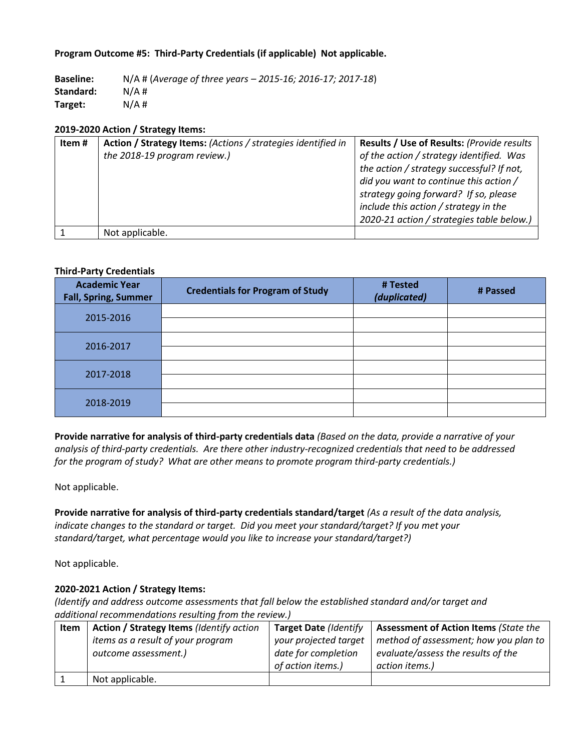## **Program Outcome #5: Third-Party Credentials (if applicable) Not applicable.**

**Baseline:** N/A # (*Average of three years – 2015-16; 2016-17; 2017-18*) **Standard:** N/A # **Target:** N/A #

#### **2019-2020 Action / Strategy Items:**

| Item# | Action / Strategy Items: (Actions / strategies identified in | Results / Use of Results: (Provide results |
|-------|--------------------------------------------------------------|--------------------------------------------|
|       | the 2018-19 program review.)                                 | of the action / strategy identified. Was   |
|       |                                                              | the action / strategy successful? If not,  |
|       |                                                              | did you want to continue this action /     |
|       |                                                              | strategy going forward? If so, please      |
|       |                                                              | include this action / strategy in the      |
|       |                                                              | 2020-21 action / strategies table below.)  |
|       | Not applicable.                                              |                                            |

#### **Third-Party Credentials**

| <b>Academic Year</b><br><b>Fall, Spring, Summer</b> | <b>Credentials for Program of Study</b> | # Tested<br>(duplicated) | # Passed |
|-----------------------------------------------------|-----------------------------------------|--------------------------|----------|
| 2015-2016                                           |                                         |                          |          |
| 2016-2017                                           |                                         |                          |          |
| 2017-2018                                           |                                         |                          |          |
| 2018-2019                                           |                                         |                          |          |

**Provide narrative for analysis of third-party credentials data** *(Based on the data, provide a narrative of your analysis of third-party credentials. Are there other industry-recognized credentials that need to be addressed for the program of study? What are other means to promote program third-party credentials.)*

Not applicable.

**Provide narrative for analysis of third-party credentials standard/target** *(As a result of the data analysis, indicate changes to the standard or target. Did you meet your standard/target? If you met your standard/target, what percentage would you like to increase your standard/target?)* 

Not applicable.

# **2020-2021 Action / Strategy Items:**

| Item | Action / Strategy Items (Identify action | <b>Target Date (Identify</b> | <b>Assessment of Action Items (State the</b> |
|------|------------------------------------------|------------------------------|----------------------------------------------|
|      | items as a result of your program        | your projected target        | method of assessment; how you plan to        |
|      | outcome assessment.)                     | date for completion          | evaluate/assess the results of the           |
|      |                                          | of action items.)            | action items.)                               |
|      | Not applicable.                          |                              |                                              |